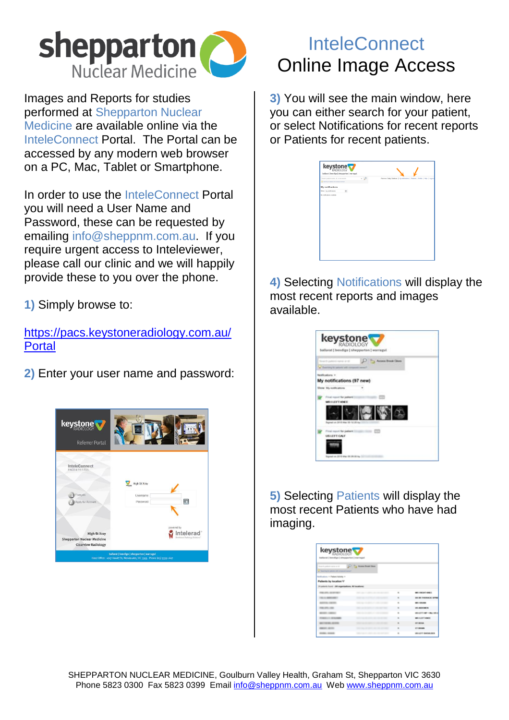

Images and Reports for studies performed at Shepparton Nuclear Medicine are available online via the InteleConnect Portal. The Portal can be accessed by any modern web browser on a PC, Mac, Tablet or Smartphone.

In order to use the InteleConnect Portal you will need a User Name and Password, these can be requested by emailing info@sheppnm.com.au. If you require urgent access to Inteleviewer, please call our clinic and we will happily provide these to you over the phone.

**1)** Simply browse to:

[https://pacs.keystoneradiology.com.au/](https://pacs.keystoneradiology.com.au/Portal) [Portal](https://pacs.keystoneradiology.com.au/Portal)

**2)** Enter your user name and password:



## **InteleConnect** Online Image Access

**3)** You will see the main window, here you can either search for your patient, or select Notifications for recent reports or Patients for recent patients.

| $ \Omega$<br>Search patient name, id. or accession<br>Construction the display primary Q<br>My notifications<br>Show My notifications<br>$\checkmark$<br>No notifications available | Welcome Clede Clarkean   My netifications   Patients   Profile   Help   Log out |  | ballarat   bendigo   shepparton   warragul |  |  |
|-------------------------------------------------------------------------------------------------------------------------------------------------------------------------------------|---------------------------------------------------------------------------------|--|--------------------------------------------|--|--|
|                                                                                                                                                                                     |                                                                                 |  |                                            |  |  |
|                                                                                                                                                                                     |                                                                                 |  |                                            |  |  |
|                                                                                                                                                                                     |                                                                                 |  |                                            |  |  |
|                                                                                                                                                                                     |                                                                                 |  |                                            |  |  |
|                                                                                                                                                                                     |                                                                                 |  |                                            |  |  |
|                                                                                                                                                                                     |                                                                                 |  |                                            |  |  |
|                                                                                                                                                                                     |                                                                                 |  |                                            |  |  |
|                                                                                                                                                                                     |                                                                                 |  |                                            |  |  |
|                                                                                                                                                                                     |                                                                                 |  |                                            |  |  |
|                                                                                                                                                                                     |                                                                                 |  |                                            |  |  |
|                                                                                                                                                                                     |                                                                                 |  |                                            |  |  |
|                                                                                                                                                                                     |                                                                                 |  |                                            |  |  |
|                                                                                                                                                                                     |                                                                                 |  |                                            |  |  |
|                                                                                                                                                                                     |                                                                                 |  |                                            |  |  |
|                                                                                                                                                                                     |                                                                                 |  |                                            |  |  |
|                                                                                                                                                                                     |                                                                                 |  |                                            |  |  |
|                                                                                                                                                                                     |                                                                                 |  |                                            |  |  |
|                                                                                                                                                                                     |                                                                                 |  |                                            |  |  |
|                                                                                                                                                                                     |                                                                                 |  |                                            |  |  |
|                                                                                                                                                                                     |                                                                                 |  |                                            |  |  |
|                                                                                                                                                                                     |                                                                                 |  |                                            |  |  |
|                                                                                                                                                                                     |                                                                                 |  |                                            |  |  |
|                                                                                                                                                                                     |                                                                                 |  |                                            |  |  |
|                                                                                                                                                                                     |                                                                                 |  |                                            |  |  |
|                                                                                                                                                                                     |                                                                                 |  |                                            |  |  |
|                                                                                                                                                                                     |                                                                                 |  |                                            |  |  |
|                                                                                                                                                                                     |                                                                                 |  |                                            |  |  |
|                                                                                                                                                                                     |                                                                                 |  |                                            |  |  |
|                                                                                                                                                                                     |                                                                                 |  |                                            |  |  |
|                                                                                                                                                                                     |                                                                                 |  |                                            |  |  |
|                                                                                                                                                                                     |                                                                                 |  |                                            |  |  |

**4)** Selecting Notifications will display the most recent reports and images available.

| <b>keystone</b><br>ballarat   bendigo   shepparton   warragul                              |                     |
|--------------------------------------------------------------------------------------------|---------------------|
| a floorming to subset with remained                                                        | Access Street Close |
| <b>By sublimizing</b><br>ly notifications (97 new)                                         |                     |
| My work prove                                                                              |                     |
| <b>MONTHLIPS</b><br>and you can be with about 1990 for \$100 min.                          |                     |
| First report for patient fillings.<br>USLEFT CALF<br>Supreed cat. 2013 May 24, 24, 24, 24, |                     |

**5)** Selecting Patients will display the most recent Patients who have had imaging.

| keystone<br>Instituted [ Institute ] of the planned ] interaction             |                           |                |                             |
|-------------------------------------------------------------------------------|---------------------------|----------------|-----------------------------|
| News for patients names on let<br>a three first to advert and company there." | 37 The Assess Street Door |                |                             |
| Noticutions + Patient Actube +                                                |                           |                |                             |
| Patients by location V                                                        |                           |                |                             |
| Hustoris hunt: (Al argentedium, NF boatland)                                  |                           |                |                             |
| <b>BUSINESS ARRANGEMENT</b>                                                   |                           | ٠              | MAINTENT KINES              |
| ----                                                                          |                           | $\blacksquare$ | OR ARE THE MUNICIPAL OF THE |
| <b>CALCULATED</b>                                                             |                           | $\overline{a}$ | Mill i Showin               |
| ---                                                                           |                           | $\mathbf{u}$   | <b><i>LELANSYMBIR</i></b>   |
| --                                                                            |                           | ٠              | <b>MALEYTINE' LINA MALE</b> |
| <b>BELLEVILLE SERVICE</b>                                                     |                           | ٠              | MAIN FLASH T. MAIN III      |
| <b>BETWEEN SCIENCE</b>                                                        |                           | ۰              | OF OURS.                    |
| ---                                                                           |                           | $\mathbf{r}$   | <b>CT HEARS</b>             |
| <b>CALL GALLE</b>                                                             |                           | ٠              | URLEFT BHOLD (WH            |